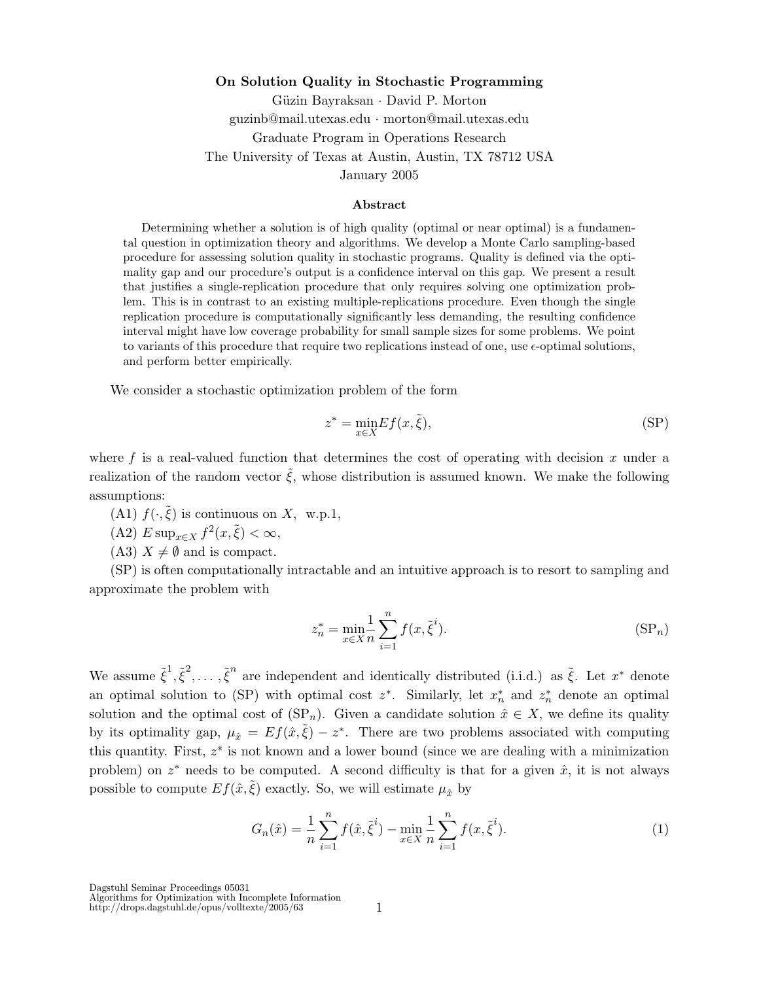### **On Solution Quality in Stochastic Programming**

Güzin Bayraksan · David P. Morton guzinb@mail.utexas.edu · morton@mail.utexas.edu Graduate Program in Operations Research The University of Texas at Austin, Austin, TX 78712 USA January 2005

#### **Abstract**

Determining whether a solution is of high quality (optimal or near optimal) is a fundamental question in optimization theory and algorithms. We develop a Monte Carlo sampling-based procedure for assessing solution quality in stochastic programs. Quality is defined via the optimality gap and our procedure's output is a confidence interval on this gap. We present a result that justifies a single-replication procedure that only requires solving one optimization problem. This is in contrast to an existing multiple-replications procedure. Even though the single replication procedure is computationally significantly less demanding, the resulting confidence interval might have low coverage probability for small sample sizes for some problems. We point to variants of this procedure that require two replications instead of one, use  $\epsilon$ -optimal solutions, and perform better empirically.

We consider a stochastic optimization problem of the form

$$
z^* = \min_{x \in X} E f(x, \tilde{\xi}),\tag{SP}
$$

where f is a real-valued function that determines the cost of operating with decision  $x$  under a realization of the random vector  $\tilde{\xi}$ , whose distribution is assumed known. We make the following assumptions:

(A1)  $f(\cdot,\xi)$  is continuous on *X*, w.p.1,

 $(A2)$   $E \sup_{x \in X} f^2(x, \tilde{\xi}) < \infty$ ,

 $(A3)$   $X \neq \emptyset$  and is compact.

(SP) is often computationally intractable and an intuitive approach is to resort to sampling and approximate the problem with

$$
z_n^* = \min_{x \in X} \frac{1}{n} \sum_{i=1}^n f(x, \tilde{\xi}^i).
$$
 (SP<sub>n</sub>)

We assume  $\tilde{\xi}^1, \tilde{\xi}^2, \ldots, \tilde{\xi}^n$  are independent and identically distributed (i.i.d.) as  $\tilde{\xi}$ . Let  $x^*$  denote an optimal solution to (SP) with optimal cost  $z^*$ . Similarly, let  $x_n^*$  and  $z_n^*$  denote an optimal solution and the optimal cost of  $(SP_n)$ . Given a candidate solution  $\hat{x} \in X$ , we define its quality by its optimality gap,  $\mu_{\hat{x}} = Ef(\hat{x}, \hat{\xi}) - z^*$ . There are two problems associated with computing this quantity. First, *z*∗ is not known and a lower bound (since we are dealing with a minimization problem) on  $z^*$  needs to be computed. A second difficulty is that for a given  $\hat{x}$ , it is not always possible to compute  $Ef(\hat{x}, \hat{\xi})$  exactly. So, we will estimate  $\mu_{\hat{x}}$  by

$$
G_n(\hat{x}) = \frac{1}{n} \sum_{i=1}^n f(\hat{x}, \tilde{\xi}^i) - \min_{x \in X} \frac{1}{n} \sum_{i=1}^n f(x, \tilde{\xi}^i).
$$
 (1)

Dagstuhl Seminar Proceedings 05031 Algorithms for Optimization with Incomplete Information http://drops.dagstuhl.de/opus/volltexte/2005/63

1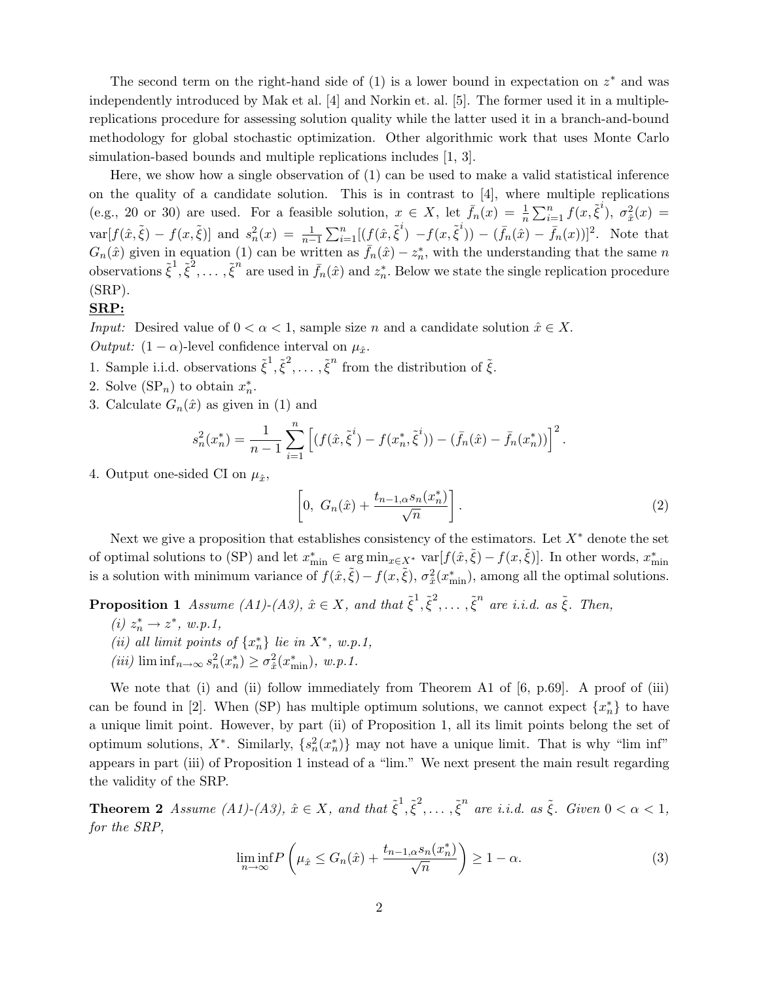The second term on the right-hand side of (1) is a lower bound in expectation on *z*∗ and was independently introduced by Mak et al. [4] and Norkin et. al. [5]. The former used it in a multiplereplications procedure for assessing solution quality while the latter used it in a branch-and-bound methodology for global stochastic optimization. Other algorithmic work that uses Monte Carlo simulation-based bounds and multiple replications includes [1, 3].

Here, we show how a single observation of (1) can be used to make a valid statistical inference on the quality of a candidate solution. This is in contrast to  $\vert 4 \vert$ , where multiple replications (e.g., 20 or 30) are used. For a feasible solution,  $x \in X$ , let  $\bar{f}_n(x) = \frac{1}{n} \sum_{i=1}^n f(x, \tilde{\xi}^i)$ ,  $\sigma_x^2(x) =$  $\text{var}[f(\hat{x}, \tilde{\xi}) - f(x, \tilde{\xi})]$  and  $s_n^2(x) = \frac{1}{n-1} \sum_{i=1}^n [ (f(\hat{x}, \tilde{\xi}^i) - f(x, \tilde{\xi}^i)) - (\bar{f}_n(\hat{x}) - \bar{f}_n(x))]^2$ . Note that  $G_n(\hat{x})$  given in equation (1) can be written as  $\bar{f}_n(\hat{x}) - z_n^*$ , with the understanding that the same *n* observations  $\tilde{\xi}^1, \tilde{\xi}^2, \ldots, \tilde{\xi}^n$  are used in  $\bar{f}_n(\hat{x})$  and  $z_n^*$ . Below we state the single replication procedure (SRP).

#### **SRP:**

*Input:* Desired value of  $0 < \alpha < 1$ , sample size *n* and a candidate solution  $\hat{x} \in X$ . Output:  $(1 - \alpha)$ -level confidence interval on  $\mu_{\hat{x}}$ .

- 1. Sample i.i.d. observations  $\tilde{\xi}^1, \tilde{\xi}^2, \ldots, \tilde{\xi}^n$  from the distribution of  $\tilde{\xi}$ .
- 2. Solve  $(\text{SP}_n)$  to obtain  $x_n^*$ .
- 3. Calculate  $G_n(\hat{x})$  as given in (1) and

$$
s_n^2(x_n^*) = \frac{1}{n-1} \sum_{i=1}^n \left[ (f(\hat{x}, \tilde{\xi}^i) - f(x_n^*, \tilde{\xi}^i)) - (\bar{f}_n(\hat{x}) - \bar{f}_n(x_n^*)) \right]^2.
$$

4. Output one-sided CI on  $\mu_{\hat{x}}$ ,

$$
\left[0, G_n(\hat{x}) + \frac{t_{n-1,\alpha} s_n(x_n^*)}{\sqrt{n}}\right].
$$
\n(2)

Next we give a proposition that establishes consistency of the estimators. Let  $X^*$  denote the set of optimal solutions to (SP) and let  $x_{\min}^* \in \arg \min_{x \in X^*} \text{var}[f(\hat{x}, \tilde{\xi}) - f(x, \tilde{\xi})]$ . In other words,  $x_{\min}^*$ is a solution with minimum variance of  $f(\hat{x}, \tilde{\xi}) - f(x, \tilde{\xi}), \sigma_x^2(x_{\min}^*)$ , among all the optimal solutions.

**Proposition 1** Assume (A1)-(A3),  $\hat{x} \in X$ , and that  $\tilde{\xi}^1, \tilde{\xi}^2, \ldots, \tilde{\xi}^n$  are i.i.d. as  $\tilde{\xi}$ . Then,

- $(i) z_n^*$  →  $z^*$ , w.p.1,
- (*ii*) all limit points of  $\{x_n^*\}$  lie in  $X^*$ , w.p.1,
- $(iii)$   $\liminf_{n\to\infty} s_n^2(x_n^*) \geq \sigma_x^2(x_{\min}^*)$ ,  $w.p.1$ .

We note that (i) and (ii) follow immediately from Theorem A1 of [6, p.69]. A proof of (iii) can be found in [2]. When (SP) has multiple optimum solutions, we cannot expect  $\{x_n^*\}$  to have a unique limit point. However, by part (ii) of Proposition 1, all its limit points belong the set of optimum solutions,  $X^*$ . Similarly,  $\{s_n^2(x_n^*)\}$  may not have a unique limit. That is why "lim inf" appears in part (iii) of Proposition 1 instead of a "lim." We next present the main result regarding the validity of the SRP.

**Theorem 2** Assume (A1)-(A3),  $\hat{x} \in X$ , and that  $\tilde{\xi}^1, \tilde{\xi}^2, \ldots, \tilde{\xi}^n$  are i.i.d. as  $\tilde{\xi}$ . Given  $0 < \alpha < 1$ , for the SRP,

$$
\liminf_{n \to \infty} P\left(\mu_{\hat{x}} \le G_n(\hat{x}) + \frac{t_{n-1,\alpha} s_n(x_n^*)}{\sqrt{n}}\right) \ge 1 - \alpha. \tag{3}
$$